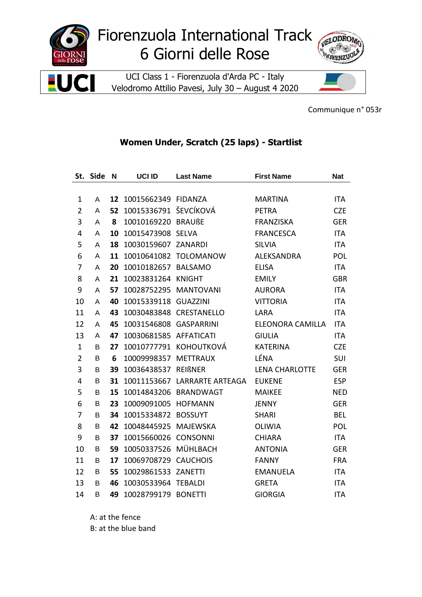

Communique n° 053r

## Women Under, Scratch (25 laps) - Startlist

| St.            | <b>Side</b> | N  | UCI ID                 | <b>Last Name</b>             | <b>First Name</b>     | <b>Nat</b> |
|----------------|-------------|----|------------------------|------------------------------|-----------------------|------------|
|                |             |    |                        |                              |                       |            |
| 1              | A           | 12 | 10015662349 FIDANZA    |                              | <b>MARTINA</b>        | <b>ITA</b> |
| $\overline{2}$ | A           | 52 | 10015336791 ŠEVCÍKOVÁ  |                              | <b>PETRA</b>          | <b>CZE</b> |
| 3              | Α           | 8  | 10010169220 BRAUßE     |                              | <b>FRANZISKA</b>      | <b>GER</b> |
| 4              | A           | 10 | 10015473908 SELVA      |                              | <b>FRANCESCA</b>      | <b>ITA</b> |
| 5              | A           | 18 | 10030159607 ZANARDI    |                              | <b>SILVIA</b>         | <b>ITA</b> |
| 6              | A           | 11 |                        | 10010641082 TOLOMANOW        | ALEKSANDRA            | <b>POL</b> |
| 7              | A           | 20 | 10010182657 BALSAMO    |                              | <b>ELISA</b>          | <b>ITA</b> |
| 8              | Α           | 21 | 10023831264            | <b>KNIGHT</b>                | <b>EMILY</b>          | <b>GBR</b> |
| 9              | Α           | 57 | 10028752295 MANTOVANI  |                              | <b>AURORA</b>         | <b>ITA</b> |
| 10             | Α           | 40 | 10015339118 GUAZZINI   |                              | <b>VITTORIA</b>       | <b>ITA</b> |
| 11             | A           | 43 |                        | 10030483848 CRESTANELLO      | LARA                  | <b>ITA</b> |
| 12             | A           | 45 | 10031546808 GASPARRINI |                              | ELEONORA CAMILLA      | <b>ITA</b> |
| 13             | A           | 47 | 10030681585            | <b>AFFATICATI</b>            | <b>GIULIA</b>         | <b>ITA</b> |
| $\mathbf 1$    | B           | 27 |                        | 10010777791 KOHOUTKOVÁ       | <b>KATERINA</b>       | <b>CZE</b> |
| $\overline{2}$ | B           | 6  | 10009998357            | <b>METTRAUX</b>              | LÉNA                  | SUI        |
| 3              | В           | 39 | 10036438537            | <b>REIßNER</b>               | <b>LENA CHARLOTTE</b> | <b>GER</b> |
| 4              | B           | 31 |                        | 10011153667 LARRARTE ARTEAGA | <b>EUKENE</b>         | <b>ESP</b> |
| 5              | B           | 15 | 10014843206            | <b>BRANDWAGT</b>             | <b>MAIKEE</b>         | <b>NED</b> |
| 6              | В           | 23 | 10009091005 HOFMANN    |                              | <b>JENNY</b>          | <b>GER</b> |
| 7              | B           | 34 | 10015334872            | <b>BOSSUYT</b>               | <b>SHARI</b>          | <b>BEL</b> |
| 8              | B           | 42 | 10048445925            | <b>MAJEWSKA</b>              | <b>OLIWIA</b>         | <b>POL</b> |
| 9              | B           | 37 | 10015660026 CONSONNI   |                              | <b>CHIARA</b>         | <b>ITA</b> |
| 10             | В           | 59 | 10050337526            | MÜHLBACH                     | <b>ANTONIA</b>        | <b>GER</b> |
| 11             | В           | 17 | 10069708729 CAUCHOIS   |                              | <b>FANNY</b>          | <b>FRA</b> |
| 12             | B           | 55 | 10029861533 ZANETTI    |                              | <b>EMANUELA</b>       | <b>ITA</b> |
| 13             | B           | 46 | 10030533964            | <b>TEBALDI</b>               | <b>GRETA</b>          | ITA        |
| 14             | B           | 49 | 10028799179 BONETTI    |                              | <b>GIORGIA</b>        | <b>ITA</b> |

A: at the fence B: at the blue band